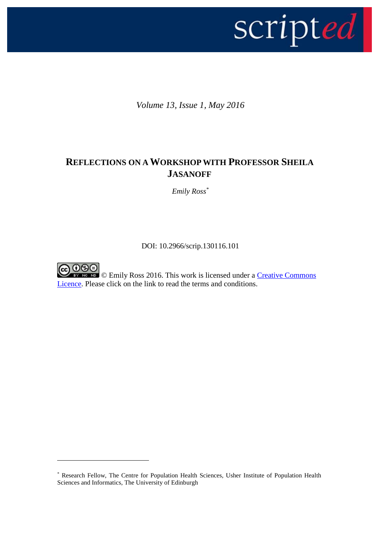

*Volume 13, Issue 1, May 2016*

## **REFLECTIONS ON A WORKSHOP WITH PROFESSOR SHEILA JASANOFF**

*Emily Ross\**

DOI: 10.2966/scrip.130116.101



1

© Emily Ross 2016. This work is licensed under a [Creative Commons](http://creativecommons.org/licenses/by-nc-nd/2.5/scotland/)  [Licence.](http://creativecommons.org/licenses/by-nc-nd/2.5/scotland/) Please click on the link to read the terms and conditions.

<sup>\*</sup> Research Fellow, The Centre for Population Health Sciences, Usher Institute of Population Health Sciences and Informatics, The University of Edinburgh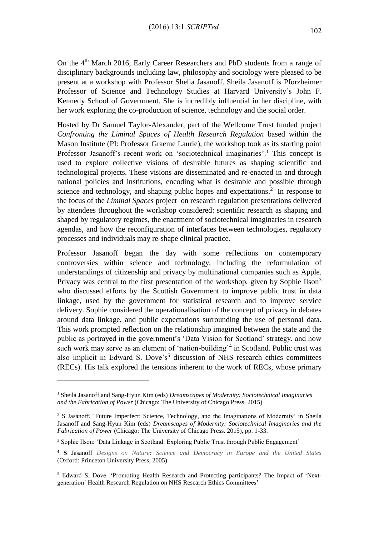On the 4<sup>th</sup> March 2016, Early Career Researchers and PhD students from a range of disciplinary backgrounds including law, philosophy and sociology were pleased to be present at a workshop with Professor Shelia Jasanoff. Sheila Jasanoff is Pforzheimer Professor of Science and Technology Studies at Harvard University's John F. Kennedy School of Government. She is incredibly influential in her discipline, with her work exploring the co-production of science, technology and the social order.

Hosted by Dr Samuel Taylor-Alexander, part of the Wellcome Trust funded project *Confronting the Liminal Spaces of Health Research Regulation* based within the Mason Institute (PI: Professor Graeme Laurie), the workshop took as its starting point Professor Jasanoff's recent work on 'sociotechnical imaginaries'.<sup>1</sup> This concept is used to explore collective visions of desirable futures as shaping scientific and technological projects. These visions are disseminated and re-enacted in and through national policies and institutions, encoding what is desirable and possible through science and technology, and shaping public hopes and expectations.<sup>2</sup> In response to the focus of the *Liminal Spaces* project on research regulation presentations delivered by attendees throughout the workshop considered: scientific research as shaping and shaped by regulatory regimes, the enactment of sociotechnical imaginaries in research agendas, and how the reconfiguration of interfaces between technologies, regulatory processes and individuals may re-shape clinical practice.

Professor Jasanoff began the day with some reflections on contemporary controversies within science and technology, including the reformulation of understandings of citizenship and privacy by multinational companies such as Apple. Privacy was central to the first presentation of the workshop, given by Sophie Ilson<sup>3</sup> who discussed efforts by the Scottish Government to improve public trust in data linkage, used by the government for statistical research and to improve service delivery. Sophie considered the operationalisation of the concept of privacy in debates around data linkage, and public expectations surrounding the use of personal data. This work prompted reflection on the relationship imagined between the state and the public as portrayed in the government's 'Data Vision for Scotland' strategy, and how such work may serve as an element of 'nation-building'<sup>4</sup> in Scotland. Public trust was also implicit in Edward S. Dove's<sup>5</sup> discussion of NHS research ethics committees (RECs). His talk explored the tensions inherent to the work of RECs, whose primary

1

<sup>1</sup> Sheila Jasanoff and Sang-Hyun Kim (eds) *Dreamscapes of Modernity: Sociotechnical Imaginaries and the Fabrication of Power* (Chicago: The University of Chicago Press. 2015)

<sup>&</sup>lt;sup>2</sup> S Jasanoff, 'Future Imperfect: Science, Technology, and the Imaginations of Modernity' in Sheila Jasanoff and Sang-Hyun Kim (eds) *Dreamscapes of Modernity: Sociotechnical Imaginaries and the Fabrication of Power* (Chicago: The University of Chicago Press. 2015), pp. 1-33.

<sup>&</sup>lt;sup>3</sup> Sophie Ilson: 'Data Linkage in Scotland: Exploring Public Trust through Public Engagement'

**<sup>4</sup> S** Jasanoff *Designs on Nature: Science and Democracy in Europe and the United States* (Oxford: Princeton University Press, 2005)

<sup>5</sup> Edward S. Dove: 'Promoting Health Research and Protecting participants? The Impact of 'Nextgeneration' Health Research Regulation on NHS Research Ethics Committees'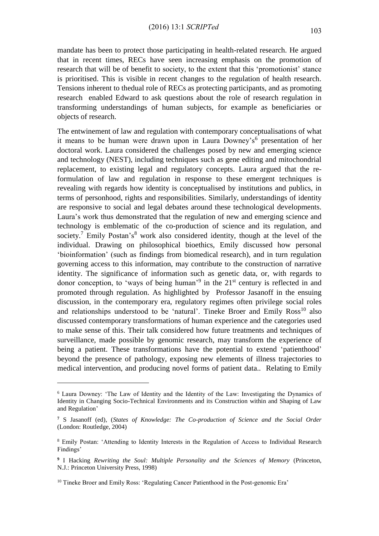mandate has been to protect those participating in health-related research. He argued that in recent times, RECs have seen increasing emphasis on the promotion of research that will be of benefit to society, to the extent that this 'promotionist' stance is prioritised. This is visible in recent changes to the regulation of health research. Tensions inherent to thedual role of RECs as protecting participants, and as promoting research enabled Edward to ask questions about the role of research regulation in transforming understandings of human subjects, for example as beneficiaries or objects of research.

The entwinement of law and regulation with contemporary conceptualisations of what it means to be human were drawn upon in Laura Downey's<sup>6</sup> presentation of her doctoral work. Laura considered the challenges posed by new and emerging science and technology (NEST), including techniques such as gene editing and mitochondrial replacement, to existing legal and regulatory concepts. Laura argued that the reformulation of law and regulation in response to these emergent techniques is revealing with regards how identity is conceptualised by institutions and publics, in terms of personhood, rights and responsibilities. Similarly, understandings of identity are responsive to social and legal debates around these technological developments. Laura's work thus demonstrated that the regulation of new and emerging science and technology is emblematic of the co-production of science and its regulation, and society.<sup>7</sup> Emily Postan's<sup>8</sup> work also considered identity, though at the level of the individual. Drawing on philosophical bioethics, Emily discussed how personal 'bioinformation' (such as findings from biomedical research), and in turn regulation governing access to this information, may contribute to the construction of narrative identity. The significance of information such as genetic data, or, with regards to donor conception, to 'ways of being human'<sup>9</sup> in the  $21<sup>st</sup>$  century is reflected in and promoted through regulation. As highlighted by Professor Jasanoff in the ensuing discussion, in the contemporary era, regulatory regimes often privilege social roles and relationships understood to be 'natural'. Tineke Broer and Emily  $Ross<sup>10</sup>$  also discussed contemporary transformations of human experience and the categories used to make sense of this. Their talk considered how future treatments and techniques of surveillance, made possible by genomic research, may transform the experience of being a patient. These transformations have the potential to extend 'patienthood' beyond the presence of pathology, exposing new elements of illness trajectories to medical intervention, and producing novel forms of patient data.. Relating to Emily

1

<sup>6</sup> Laura Downey: 'The Law of Identity and the Identity of the Law: Investigating the Dynamics of Identity in Changing Socio-Technical Environments and its Construction within and Shaping of Law and Regulation'

**<sup>7</sup>** S Jasanoff (ed), (*States of Knowledge: The Co-production of Science and the Social Order* (London: Routledge, 2004)

<sup>8</sup> Emily Postan: 'Attending to Identity Interests in the Regulation of Access to Individual Research Findings'

**<sup>9</sup>** I Hacking *Rewriting the Soul: Multiple Personality and the Sciences of Memory* (Princeton, N.J.: Princeton University Press, 1998)

<sup>&</sup>lt;sup>10</sup> Tineke Broer and Emily Ross: 'Regulating Cancer Patienthood in the Post-genomic Era'